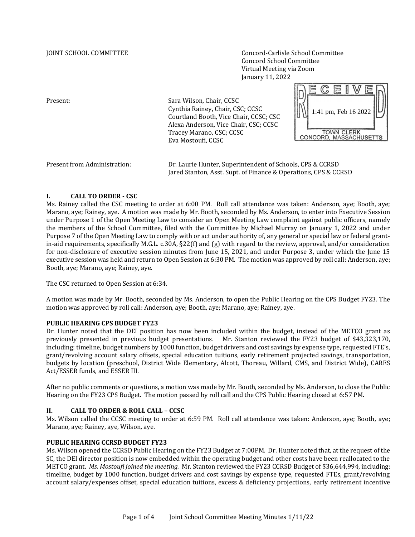JOINT SCHOOL COMMITTEE Concord-Carlisle School Committee Concord School Committee Virtual Meeting via Zoom January 11, 2022

Present: Sara Wilson, Chair, CCSC Cynthia Rainey, Chair, CSC; CCSC Courtland Booth, Vice Chair, CCSC; CSC Alexa Anderson, Vice Chair, CSC; CCSC Tracey Marano, CSC; CCSC Eva Mostoufi, CCSC



| Present from Administration: | Dr. Laurie Hunter, Superintendent of Schools, CPS & CCRSD       |
|------------------------------|-----------------------------------------------------------------|
|                              | Jared Stanton, Asst. Supt. of Finance & Operations, CPS & CCRSD |

# **I. CALL TO ORDER - CSC**

Ms. Rainey called the CSC meeting to order at 6:00 PM. Roll call attendance was taken: Anderson, aye; Booth, aye; Marano, aye; Rainey, aye. A motion was made by Mr. Booth, seconded by Ms. Anderson, to enter into Executive Session under Purpose 1 of the Open Meeting Law to consider an Open Meeting Law complaint against public officers, namely the members of the School Committee, filed with the Committee by Michael Murray on January 1, 2022 and under Purpose 7 of the Open Meeting Law to comply with or act under authority of, any general or special law or federal grantin-aid requirements, specifically M.G.L. c.30A, §22(f) and (g) with regard to the review, approval, and/or consideration for non-disclosure of executive session minutes from June 15, 2021, and under Purpose 3, under which the June 15 executive session was held and return to Open Session at 6:30 PM. The motion was approved by roll call: Anderson, aye; Booth, aye; Marano, aye; Rainey, aye.

The CSC returned to Open Session at 6:34.

A motion was made by Mr. Booth, seconded by Ms. Anderson, to open the Public Hearing on the CPS Budget FY23. The motion was approved by roll call: Anderson, aye; Booth, aye; Marano, aye; Rainey, aye.

## **PUBLIC HEARING CPS BUDGET FY23**

Dr. Hunter noted that the DEI position has now been included within the budget, instead of the METCO grant as previously presented in previous budget presentations. Mr. Stanton reviewed the FY23 budget of \$43,323,170, including: timeline, budget numbers by 1000 function, budget drivers and cost savings by expense type, requested FTE's, grant/revolving account salary offsets, special education tuitions, early retirement projected savings, transportation, budgets by location (preschool, District Wide Elementary, Alcott, Thoreau, Willard, CMS, and District Wide), CARES Act/ESSER funds, and ESSER III.

After no public comments or questions, a motion was made by Mr. Booth, seconded by Ms. Anderson, to close the Public Hearing on the FY23 CPS Budget. The motion passed by roll call and the CPS Public Hearing closed at 6:57 PM.

## **II. CALL TO ORDER & ROLL CALL – CCSC**

Ms. Wilson called the CCSC meeting to order at 6:59 PM. Roll call attendance was taken: Anderson, aye; Booth, aye; Marano, aye; Rainey, aye, Wilson, aye.

## **PUBLIC HEARING CCRSD BUDGET FY23**

Ms. Wilson opened the CCRSD Public Hearing on the FY23 Budget at 7:00PM. Dr. Hunter noted that, at the request of the SC, the DEI director position is now embedded within the operating budget and other costs have been reallocated to the METCO grant. *Ms. Mostoufi joined the meeting.* Mr. Stanton reviewed the FY23 CCRSD Budget of \$36,644,994, including: timeline, budget by 1000 function, budget drivers and cost savings by expense type, requested FTEs, grant/revolving account salary/expenses offset, special education tuitions, excess & deficiency projections, early retirement incentive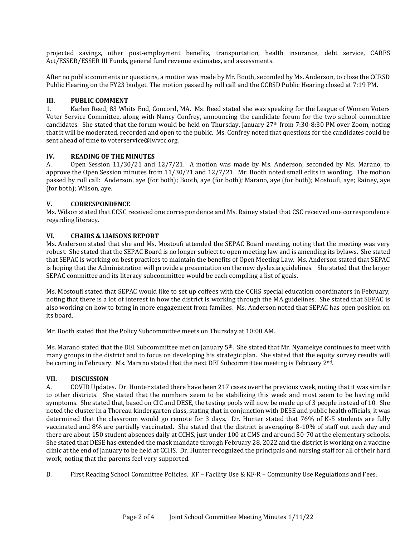projected savings, other post-employment benefits, transportation, health insurance, debt service, CARES Act/ESSER/ESSER III Funds, general fund revenue estimates, and assessments.

After no public comments or questions, a motion was made by Mr. Booth, seconded by Ms. Anderson, to close the CCRSD Public Hearing on the FY23 budget. The motion passed by roll call and the CCRSD Public Hearing closed at 7:19 PM.

## **III. PUBLIC COMMENT**

1. Karlen Reed, 83 Whits End, Concord, MA. Ms. Reed stated she was speaking for the League of Women Voters Voter Service Committee, along with Nancy Confrey, announcing the candidate forum for the two school committee candidates. She stated that the forum would be held on Thursday, January 27<sup>th</sup> from 7:30-8:30 PM over Zoom, noting that it will be moderated, recorded and open to the public. Ms. Confrey noted that questions for the candidates could be sent ahead of time to voterservice@lwvcc.org.

# **IV. READING OF THE MINUTES**

A. Open Session 11/30/21 and 12/7/21. A motion was made by Ms. Anderson, seconded by Ms. Marano, to approve the Open Session minutes from 11/30/21 and 12/7/21. Mr. Booth noted small edits in wording. The motion passed by roll call: Anderson, aye (for both); Booth, aye (for both); Marano, aye (for both); Mostoufi, aye; Rainey, aye (for both); Wilson, aye.

# **V. CORRESPONDENCE**

Ms. Wilson stated that CCSC received one correspondence and Ms. Rainey stated that CSC received one correspondence regarding literacy.

# **VI. CHAIRS & LIAISONS REPORT**

Ms. Anderson stated that she and Ms. Mostoufi attended the SEPAC Board meeting, noting that the meeting was very robust. She stated that the SEPAC Board is no longer subject to open meeting law and is amending its bylaws. She stated that SEPAC is working on best practices to maintain the benefits of Open Meeting Law. Ms. Anderson stated that SEPAC is hoping that the Administration will provide a presentation on the new dyslexia guidelines. She stated that the larger SEPAC committee and its literacy subcommittee would be each compiling a list of goals.

Ms. Mostoufi stated that SEPAC would like to set up coffees with the CCHS special education coordinators in February, noting that there is a lot of interest in how the district is working through the MA guidelines. She stated that SEPAC is also working on how to bring in more engagement from families. Ms. Anderson noted that SEPAC has open position on its board.

Mr. Booth stated that the Policy Subcommittee meets on Thursday at 10:00 AM.

Ms. Marano stated that the DEI Subcommittee met on January 5th. She stated that Mr. Nyamekye continues to meet with many groups in the district and to focus on developing his strategic plan. She stated that the equity survey results will be coming in February. Ms. Marano stated that the next DEI Subcommittee meeting is February 2nd.

# **VII. DISCUSSION**

A. COVID Updates. Dr. Hunter stated there have been 217 cases over the previous week, noting that it was similar to other districts. She stated that the numbers seem to be stabilizing this week and most seem to be having mild symptoms. She stated that, based on CIC and DESE, the testing pools will now be made up of 3 people instead of 10. She noted the cluster in a Thoreau kindergarten class, stating that in conjunction with DESE and public health officials, it was determined that the classroom would go remote for 3 days. Dr. Hunter stated that 76% of K-5 students are fully vaccinated and 8% are partially vaccinated. She stated that the district is averaging 8-10% of staff out each day and there are about 150 student absences daily at CCHS, just under 100 at CMS and around 50-70 at the elementary schools. She stated that DESE has extended the mask mandate through February 28, 2022 and the district is working on a vaccine clinic at the end of January to be held at CCHS. Dr. Hunter recognized the principals and nursing staff for all of their hard work, noting that the parents feel very supported.

B. First Reading School Committee Policies. KF – Facility Use & KF-R – Community Use Regulations and Fees.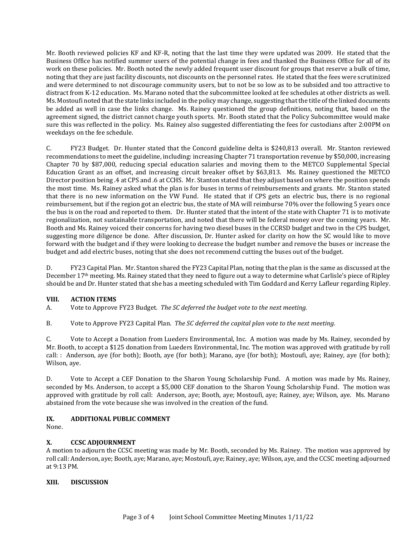Mr. Booth reviewed policies KF and KF-R, noting that the last time they were updated was 2009. He stated that the Business Office has notified summer users of the potential change in fees and thanked the Business Office for all of its work on these policies. Mr. Booth noted the newly added frequent user discount for groups that reserve a bulk of time, noting that they are just facility discounts, not discounts on the personnel rates. He stated that the fees were scrutinized and were determined to not discourage community users, but to not be so low as to be subsided and too attractive to distract from K-12 education. Ms. Marano noted that the subcommittee looked at fee schedules at other districts as well. Ms. Mostoufi noted that the state links included in the policy may change, suggesting that the title of the linked documents be added as well in case the links change. Ms. Rainey questioned the group definitions, noting that, based on the agreement signed, the district cannot charge youth sports. Mr. Booth stated that the Policy Subcommittee would make sure this was reflected in the policy. Ms. Rainey also suggested differentiating the fees for custodians after 2:00PM on weekdays on the fee schedule.

C. FY23 Budget. Dr. Hunter stated that the Concord guideline delta is \$240,813 overall. Mr. Stanton reviewed recommendations to meet the guideline, including: increasing Chapter 71 transportation revenue by \$50,000, increasing Chapter 70 by \$87,000, reducing special education salaries and moving them to the METCO Supplemental Special Education Grant as an offset, and increasing circuit breaker offset by \$63,813. Ms. Rainey questioned the METCO Director position being .4 at CPS and .6 at CCHS. Mr. Stanton stated that they adjust based on where the position spends the most time. Ms. Rainey asked what the plan is for buses in terms of reimbursements and grants. Mr. Stanton stated that there is no new information on the VW Fund. He stated that if CPS gets an electric bus, there is no regional reimbursement, but if the region got an electric bus, the state of MA will reimburse 70% over the following 5 years once the bus is on the road and reported to them. Dr. Hunter stated that the intent of the state with Chapter 71 is to motivate regionalization, not sustainable transportation, and noted that there will be federal money over the coming years. Mr. Booth and Ms. Rainey voiced their concerns for having two diesel buses in the CCRSD budget and two in the CPS budget, suggesting more diligence be done. After discussion, Dr. Hunter asked for clarity on how the SC would like to move forward with the budget and if they were looking to decrease the budget number and remove the buses or increase the budget and add electric buses, noting that she does not recommend cutting the buses out of the budget.

D. FY23 Capital Plan. Mr. Stanton shared the FY23 Capital Plan, noting that the plan is the same as discussed at the December 17th meeting. Ms. Rainey stated that they need to figure out a way to determine what Carlisle's piece of Ripley should be and Dr. Hunter stated that she has a meeting scheduled with Tim Goddard and Kerry Lafleur regarding Ripley.

## **VIII. ACTION ITEMS**

A. Vote to Approve FY23 Budget. *The SC deferred the budget vote to the next meeting.*

B. Vote to Approve FY23 Capital Plan. *The SC deferred the capital plan vote to the next meeting.*

C. Vote to Accept a Donation from Lueders Environmental, Inc. A motion was made by Ms. Rainey, seconded by Mr. Booth, to accept a \$125 donation from Lueders Environmental, Inc. The motion was approved with gratitude by roll call: : Anderson, aye (for both); Booth, aye (for both); Marano, aye (for both); Mostoufi, aye; Rainey, aye (for both); Wilson, aye.

D. Vote to Accept a CEF Donation to the Sharon Young Scholarship Fund. A motion was made by Ms. Rainey, seconded by Ms. Anderson, to accept a \$5,000 CEF donation to the Sharon Young Scholarship Fund. The motion was approved with gratitude by roll call: Anderson, aye; Booth, aye; Mostoufi, aye; Rainey, aye; Wilson, aye. Ms. Marano abstained from the vote because she was involved in the creation of the fund.

## **IX. ADDITIONAL PUBLIC COMMENT**

None.

# **X. CCSC ADJOURNMENT**

A motion to adjourn the CCSC meeting was made by Mr. Booth, seconded by Ms. Rainey. The motion was approved by roll call: Anderson, aye; Booth, aye; Marano, aye; Mostoufi, aye; Rainey, aye; Wilson, aye, and the CCSC meeting adjourned at 9:13 PM.

# **XIII. DISCUSSION**